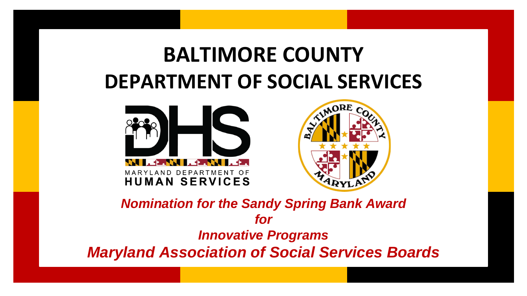## **BALTIMORE COUNTY DEPARTMENT OF SOCIAL SERVICES**





*Nomination for the Sandy Spring Bank Award for Innovative Programs Maryland Association of Social Services Boards*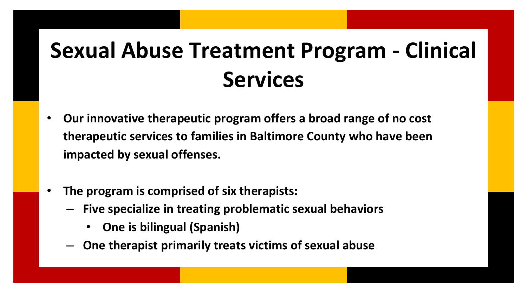# **Sexual Abuse Treatment Program - Clinical Services**

- **Our innovative therapeutic program offers a broad range of no cost therapeutic services to families in Baltimore County who have been impacted by sexual offenses.**
- **The program is comprised of six therapists:** 
	- **Five specialize in treating problematic sexual behaviors**
		- **One is bilingual (Spanish)**
	- **One therapist primarily treats victims of sexual abuse**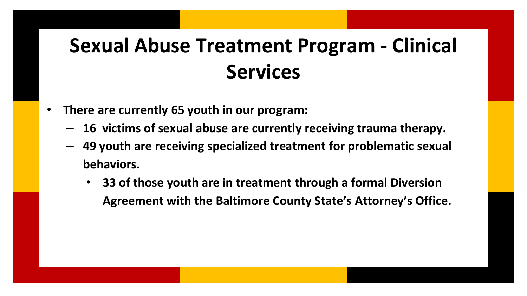## **Sexual Abuse Treatment Program - Clinical Services**

- **There are currently 65 youth in our program:**
	- **16 victims of sexual abuse are currently receiving trauma therapy.**
	- **49 youth are receiving specialized treatment for problematic sexual behaviors.**
		- **33 of those youth are in treatment through a formal Diversion Agreement with the Baltimore County State's Attorney's Office.**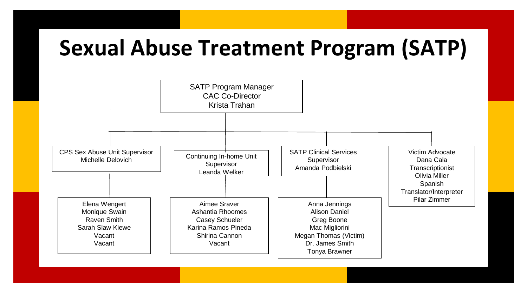## **Sexual Abuse Treatment Program (SATP)**

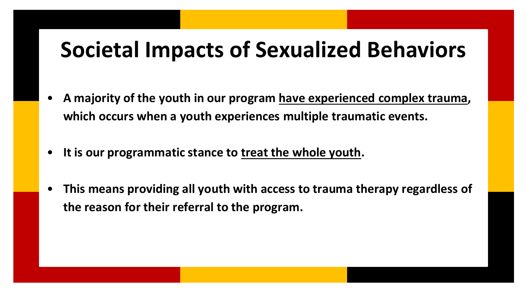## **Societal Impacts of Sexualized Behaviors**

- **A majority of the youth in our program have experienced complex trauma, which occurs when a youth experiences multiple traumatic events.**
- It is our programmatic stance to treat the whole youth.
- **This means providing all youth with access to trauma therapy regardless of the reason for their referral to the program.**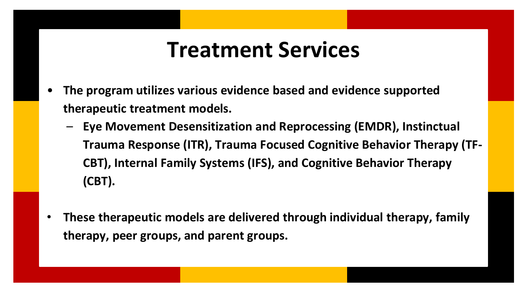#### **Treatment Services**

- **The program utilizes various evidence based and evidence supported therapeutic treatment models.** 
	- **Eye Movement Desensitization and Reprocessing (EMDR), Instinctual Trauma Response (ITR), Trauma Focused Cognitive Behavior Therapy (TF-CBT), Internal Family Systems (IFS), and Cognitive Behavior Therapy (CBT).**
- **These therapeutic models are delivered through individual therapy, family therapy, peer groups, and parent groups.**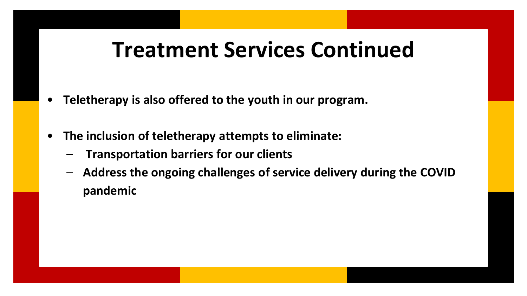### **Treatment Services Continued**

- **Teletherapy is also offered to the youth in our program.**
- **The inclusion of teletherapy attempts to eliminate:**
	- **Transportation barriers for our clients**
	- **Address the ongoing challenges of service delivery during the COVID pandemic**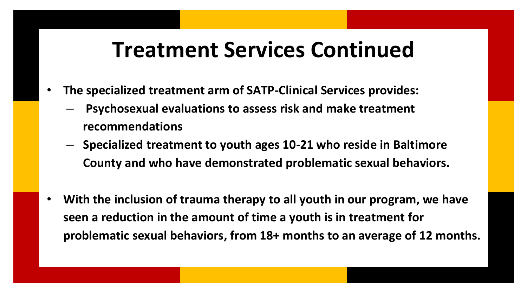#### **Treatment Services Continued**

- **The specialized treatment arm of SATP-Clinical Services provides:**
	- **Psychosexual evaluations to assess risk and make treatment recommendations**
	- **Specialized treatment to youth ages 10-21 who reside in Baltimore County and who have demonstrated problematic sexual behaviors.**
- **With the inclusion of trauma therapy to all youth in our program, we have seen a reduction in the amount of time a youth is in treatment for problematic sexual behaviors, from 18+ months to an average of 12 months.**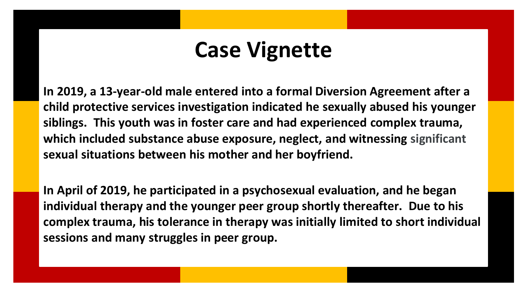#### **Case Vignette**

**In 2019, a 13-year-old male entered into a formal Diversion Agreement after a child protective services investigation indicated he sexually abused his younger siblings. This youth was in foster care and had experienced complex trauma, which included substance abuse exposure, neglect, and witnessing significant sexual situations between his mother and her boyfriend.** 

**In April of 2019, he participated in a psychosexual evaluation, and he began individual therapy and the younger peer group shortly thereafter. Due to his complex trauma, his tolerance in therapy was initially limited to short individual sessions and many struggles in peer group.**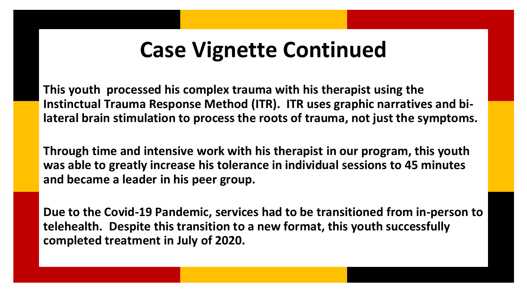## **Case Vignette Continued**

**This youth processed his complex trauma with his therapist using the Instinctual Trauma Response Method (ITR). ITR uses graphic narratives and bilateral brain stimulation to process the roots of trauma, not just the symptoms.** 

**Through time and intensive work with his therapist in our program, this youth was able to greatly increase his tolerance in individual sessions to 45 minutes and became a leader in his peer group.** 

**Due to the Covid-19 Pandemic, services had to be transitioned from in-person to telehealth. Despite this transition to a new format, this youth successfully completed treatment in July of 2020.**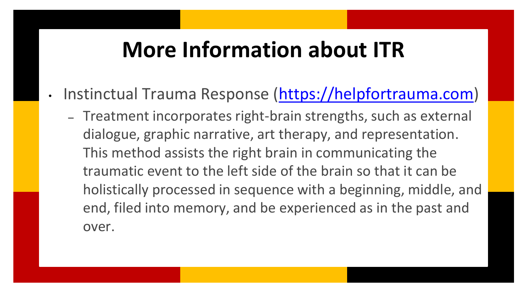#### **More Information about ITR**

- Instinctual Trauma Response ([https://helpfortrauma.com](https://helpfortrauma.com/))
	- Treatment incorporates right-brain strengths, such as external dialogue, graphic narrative, art therapy, and representation. This method assists the right brain in communicating the traumatic event to the left side of the brain so that it can be holistically processed in sequence with a beginning, middle, and end, filed into memory, and be experienced as in the past and over.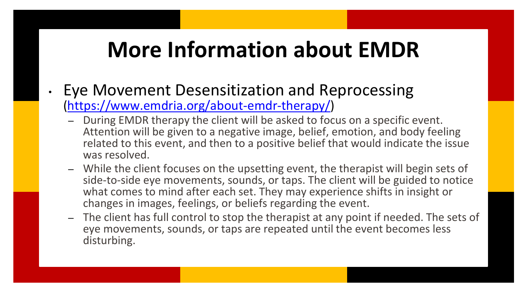## **More Information about EMDR**

- Eye Movement Desensitization and Reprocessing (<https://www.emdria.org/about-emdr-therapy/>)
	- During EMDR therapy the client will be asked to focus on a specific event. Attention will be given to a negative image, belief, emotion, and body feeling related to this event, and then to a positive belief that would indicate the issue was resolved.
	- While the client focuses on the upsetting event, the therapist will begin sets of side-to-side eye movements, sounds, or taps. The client will be guided to notice what comes to mind after each set. They may experience shifts in insight or changes in images, feelings, or beliefs regarding the event.
	- The client has full control to stop the therapist at any point if needed. The sets of eye movements, sounds, or taps are repeated until the event becomes less disturbing.